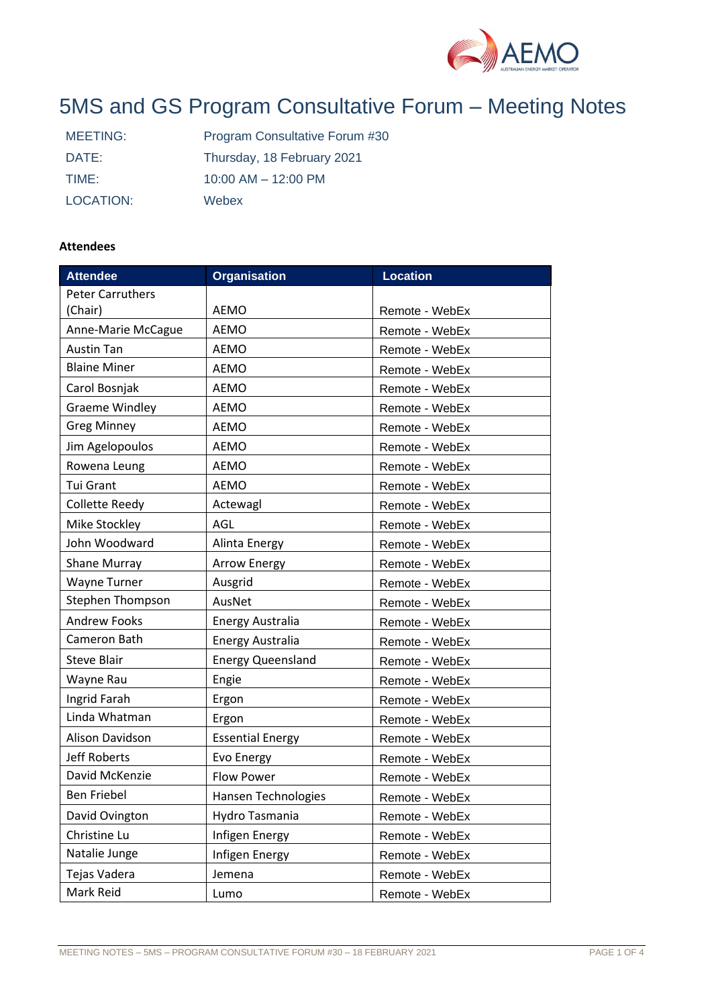

# 5MS and GS Program Consultative Forum – Meeting Notes

| MEETING:  | Program Consultative Forum #30 |
|-----------|--------------------------------|
| DATE:     | Thursday, 18 February 2021     |
| TIME:     | $10:00$ AM $- 12:00$ PM        |
| LOCATION: | Webex                          |

## **Attendees**

| <b>Attendee</b>                 | <b>Organisation</b>      | <b>Location</b> |  |
|---------------------------------|--------------------------|-----------------|--|
| <b>Peter Carruthers</b>         |                          |                 |  |
| (Chair)                         | <b>AEMO</b>              | Remote - WebEx  |  |
| Anne-Marie McCague              | <b>AEMO</b>              | Remote - WebEx  |  |
| <b>Austin Tan</b>               | <b>AEMO</b>              | Remote - WebEx  |  |
| <b>Blaine Miner</b>             | <b>AEMO</b>              | Remote - WebEx  |  |
| Carol Bosnjak                   | <b>AEMO</b>              | Remote - WebEx  |  |
| <b>Graeme Windley</b>           | <b>AEMO</b>              | Remote - WebEx  |  |
| <b>Greg Minney</b>              | <b>AEMO</b>              | Remote - WebEx  |  |
| Jim Agelopoulos                 | <b>AEMO</b>              | Remote - WebEx  |  |
| Rowena Leung                    | <b>AEMO</b>              | Remote - WebEx  |  |
| Tui Grant                       | <b>AEMO</b>              | Remote - WebEx  |  |
| Collette Reedy                  | Actewagl                 | Remote - WebEx  |  |
| Mike Stockley                   | AGL                      | Remote - WebEx  |  |
| John Woodward                   | Alinta Energy            | Remote - WebEx  |  |
| <b>Shane Murray</b>             | <b>Arrow Energy</b>      | Remote - WebEx  |  |
| <b>Wayne Turner</b>             | Ausgrid                  | Remote - WebEx  |  |
| <b>Stephen Thompson</b>         | AusNet                   | Remote - WebEx  |  |
| <b>Andrew Fooks</b>             | <b>Energy Australia</b>  | Remote - WebEx  |  |
| Cameron Bath                    | <b>Energy Australia</b>  | Remote - WebEx  |  |
| <b>Steve Blair</b>              | <b>Energy Queensland</b> | Remote - WebEx  |  |
| Wayne Rau                       | Engie                    | Remote - WebEx  |  |
| Ingrid Farah                    | Ergon                    | Remote - WebEx  |  |
| Linda Whatman                   | Ergon                    | Remote - WebEx  |  |
| Alison Davidson                 | <b>Essential Energy</b>  | Remote - WebEx  |  |
| <b>Jeff Roberts</b>             | Evo Energy               | Remote - WebEx  |  |
| David McKenzie                  | <b>Flow Power</b>        | Remote - WebEx  |  |
| <b>Ben Friebel</b>              | Hansen Technologies      | Remote - WebEx  |  |
| David Ovington                  | Hydro Tasmania           | Remote - WebEx  |  |
| Christine Lu                    | Infigen Energy           | Remote - WebEx  |  |
| Natalie Junge<br>Infigen Energy |                          | Remote - WebEx  |  |
| Tejas Vadera                    | Jemena                   | Remote - WebEx  |  |
| Mark Reid                       | Lumo                     | Remote - WebEx  |  |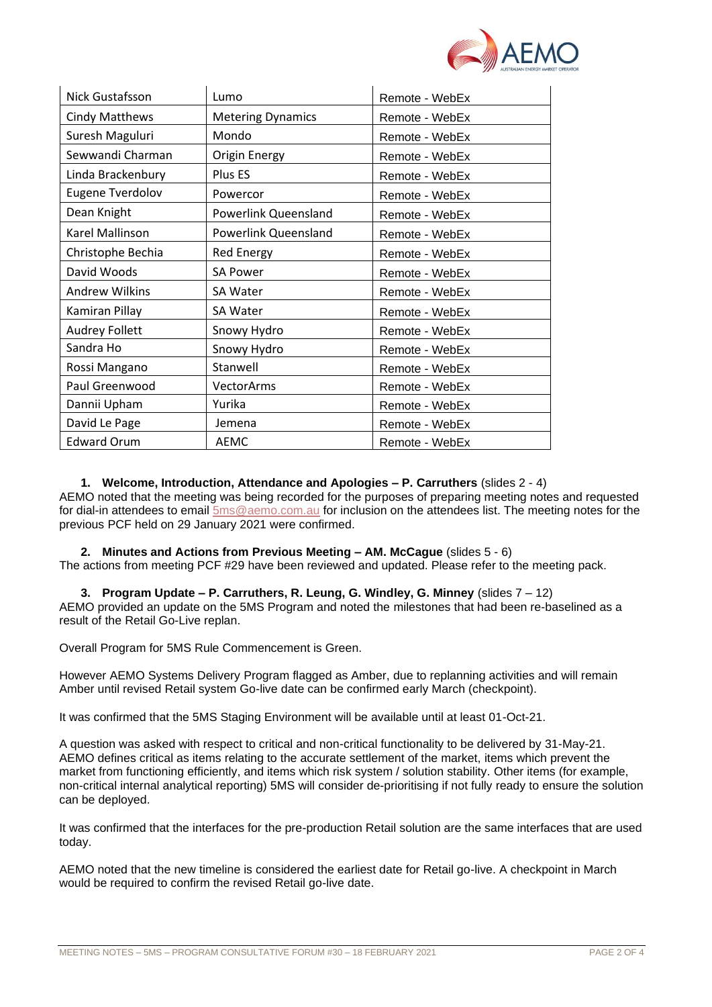

| Nick Gustafsson                   | Lumo                     | Remote - WebEx |  |
|-----------------------------------|--------------------------|----------------|--|
| <b>Cindy Matthews</b>             | <b>Metering Dynamics</b> | Remote - WebEx |  |
| Suresh Maguluri                   | Mondo                    | Remote - WebEx |  |
| Sewwandi Charman                  | <b>Origin Energy</b>     | Remote - WebEx |  |
| Linda Brackenbury                 | Plus ES                  | Remote - WebEx |  |
| <b>Eugene Tverdolov</b>           | Powercor                 | Remote - WebEx |  |
| Dean Knight                       | Powerlink Queensland     | Remote - WebEx |  |
| Karel Mallinson                   | Powerlink Queensland     | Remote - WebEx |  |
| Christophe Bechia                 | <b>Red Energy</b>        | Remote - WebEx |  |
| David Woods                       | <b>SA Power</b>          | Remote - WebEx |  |
| <b>Andrew Wilkins</b>             | SA Water                 | Remote - WebEx |  |
| Kamiran Pillay                    | <b>SA Water</b>          |                |  |
| <b>Audrey Follett</b>             | Snowy Hydro              | Remote - WebEx |  |
| Sandra Ho                         | Snowy Hydro              |                |  |
| Rossi Mangano                     | Stanwell                 | Remote - WebEx |  |
| Paul Greenwood                    | VectorArms               | Remote - WebEx |  |
| Dannii Upham                      | Yurika                   | Remote - WebEx |  |
| David Le Page                     | Jemena                   | Remote - WebEx |  |
| <b>Edward Orum</b><br><b>AEMC</b> |                          | Remote - WebEx |  |

### **1. Welcome, Introduction, Attendance and Apologies – P. Carruthers** (slides 2 - 4)

AEMO noted that the meeting was being recorded for the purposes of preparing meeting notes and requested for dial-in attendees to email [5ms@aemo.com.au](mailto:5ms@aemo.com.au) for inclusion on the attendees list. The meeting notes for the previous PCF held on 29 January 2021 were confirmed.

**2. Minutes and Actions from Previous Meeting – AM. McCague** (slides 5 - 6) The actions from meeting PCF #29 have been reviewed and updated. Please refer to the meeting pack.

**3. Program Update – P. Carruthers, R. Leung, G. Windley, G. Minney** (slides 7 – 12) AEMO provided an update on the 5MS Program and noted the milestones that had been re-baselined as a result of the Retail Go-Live replan.

Overall Program for 5MS Rule Commencement is Green.

However AEMO Systems Delivery Program flagged as Amber, due to replanning activities and will remain Amber until revised Retail system Go-live date can be confirmed early March (checkpoint).

It was confirmed that the 5MS Staging Environment will be available until at least 01-Oct-21.

A question was asked with respect to critical and non-critical functionality to be delivered by 31-May-21. AEMO defines critical as items relating to the accurate settlement of the market, items which prevent the market from functioning efficiently, and items which risk system / solution stability. Other items (for example, non-critical internal analytical reporting) 5MS will consider de-prioritising if not fully ready to ensure the solution can be deployed.

It was confirmed that the interfaces for the pre-production Retail solution are the same interfaces that are used today.

AEMO noted that the new timeline is considered the earliest date for Retail go-live. A checkpoint in March would be required to confirm the revised Retail go-live date.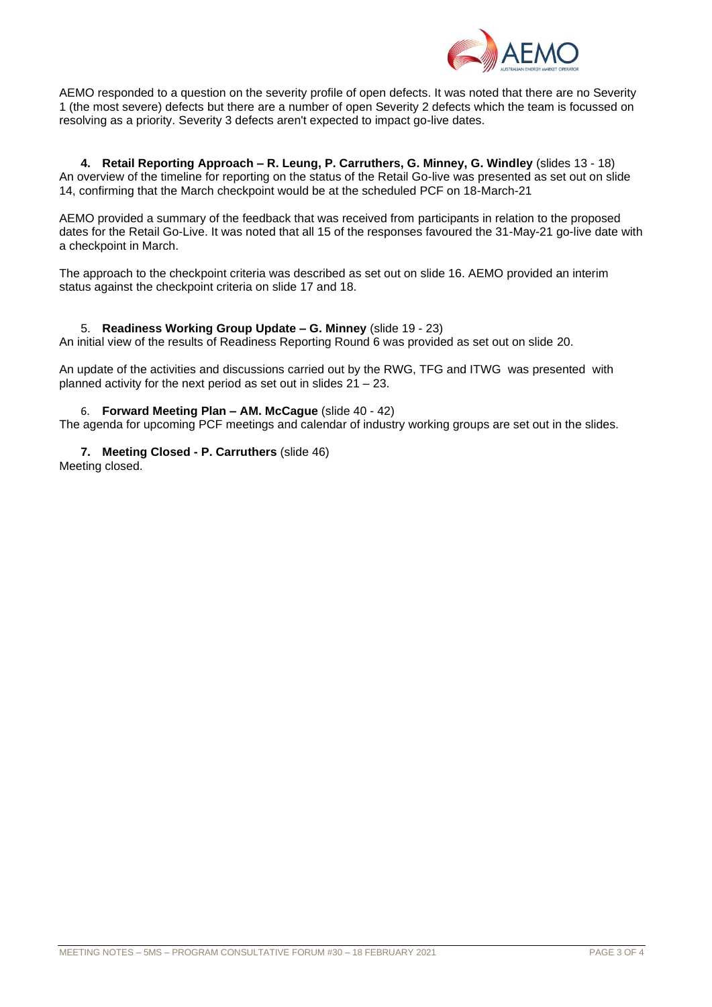

AEMO responded to a question on the severity profile of open defects. It was noted that there are no Severity 1 (the most severe) defects but there are a number of open Severity 2 defects which the team is focussed on resolving as a priority. Severity 3 defects aren't expected to impact go-live dates.

**4. Retail Reporting Approach – R. Leung, P. Carruthers, G. Minney, G. Windley** (slides 13 - 18) An overview of the timeline for reporting on the status of the Retail Go-live was presented as set out on slide 14, confirming that the March checkpoint would be at the scheduled PCF on 18-March-21

AEMO provided a summary of the feedback that was received from participants in relation to the proposed dates for the Retail Go-Live. It was noted that all 15 of the responses favoured the 31-May-21 go-live date with a checkpoint in March.

The approach to the checkpoint criteria was described as set out on slide 16. AEMO provided an interim status against the checkpoint criteria on slide 17 and 18.

## 5. **Readiness Working Group Update – G. Minney** (slide 19 - 23)

An initial view of the results of Readiness Reporting Round 6 was provided as set out on slide 20.

An update of the activities and discussions carried out by the RWG, TFG and ITWG was presented with planned activity for the next period as set out in slides 21 – 23.

### 6. **Forward Meeting Plan – AM. McCague** (slide 40 - 42)

The agenda for upcoming PCF meetings and calendar of industry working groups are set out in the slides.

**7. Meeting Closed - P. Carruthers** (slide 46)

Meeting closed.